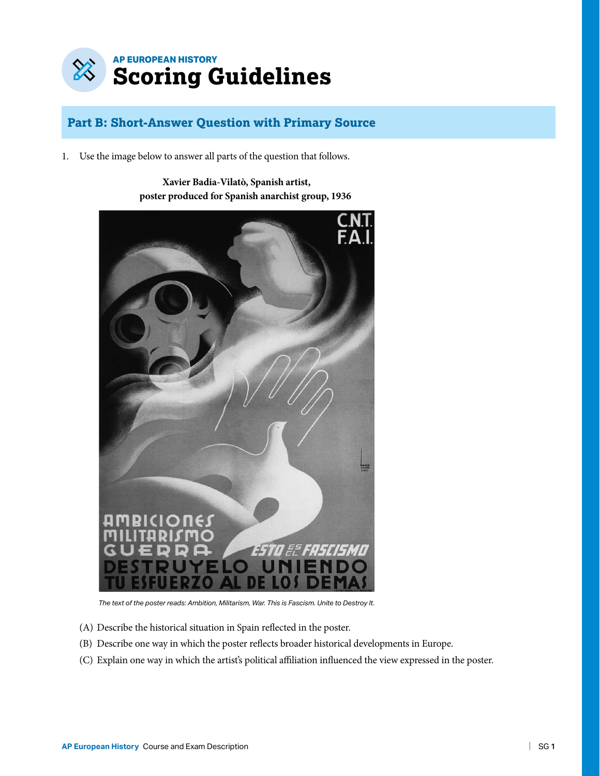

# **Part B: Short-Answer Question with Primary Source**

1. Use the image below to answer all parts of the question that follows.

**Xavier Badia-Vilatò, Spanish artist, poster produced for Spanish anarchist group, 1936**



*The text of the poster reads: Ambition, Militarism, War. This is Fascism. Unite to Destroy It.*

- (A) Describe the historical situation in Spain reflected in the poster.
- (B) Describe one way in which the poster reflects broader historical developments in Europe.
- (C) Explain one way in which the artist's political affiliation influenced the view expressed in the poster.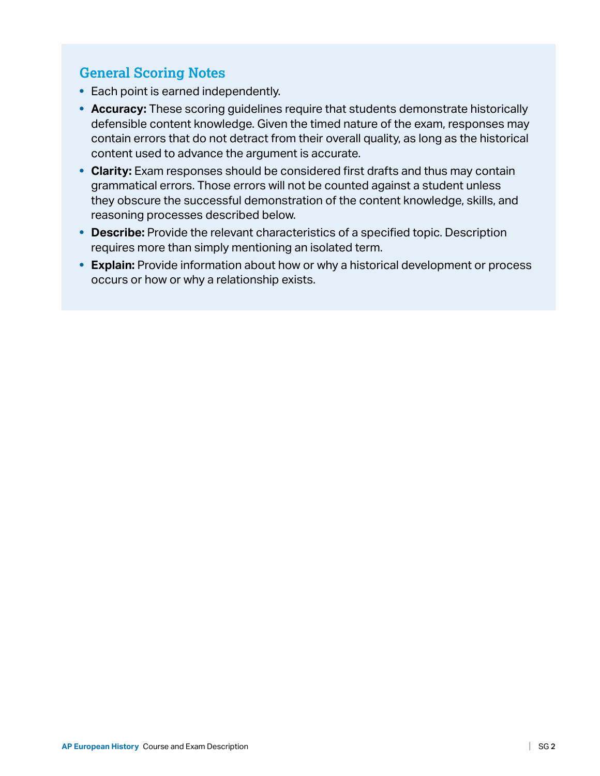# **General Scoring Notes**

- Each point is earned independently.
- **Accuracy:** These scoring guidelines require that students demonstrate historically defensible content knowledge. Given the timed nature of the exam, responses may contain errors that do not detract from their overall quality, as long as the historical content used to advance the argument is accurate.
- **Clarity:** Exam responses should be considered first drafts and thus may contain grammatical errors. Those errors will not be counted against a student unless they obscure the successful demonstration of the content knowledge, skills, and reasoning processes described below.
- **Describe:** Provide the relevant characteristics of a specified topic. Description requires more than simply mentioning an isolated term.
- **Explain:** Provide information about how or why a historical development or process occurs or how or why a relationship exists.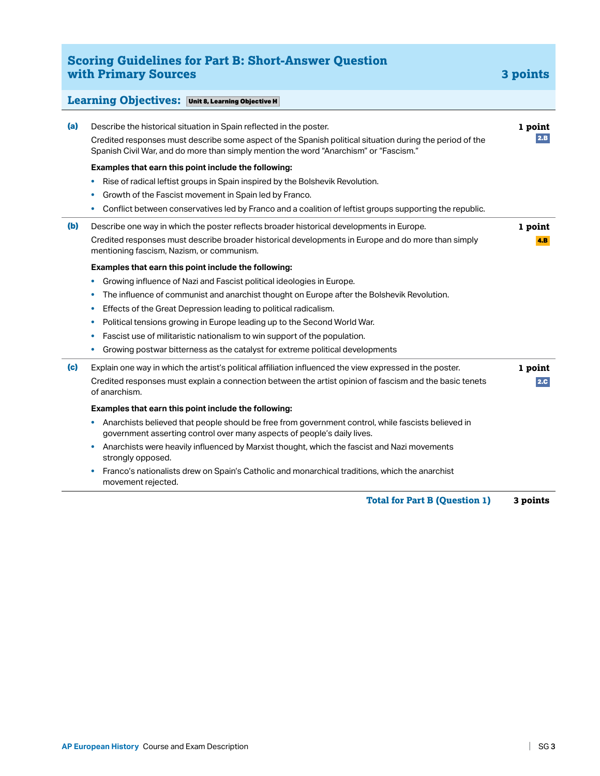# **Scoring Guidelines for Part B: Short-Answer Question with Primary Sources 3 points**

#### **Learning Objectives:** Unit 8, Learning Objective H **(a)** Describe the historical situation in Spain reflected in the poster. Credited responses must describe some aspect of the Spanish political situation during the period of the Spanish Civil War, and do more than simply mention the word "Anarchism" or "Fascism." **Examples that earn this point include the following: •** Rise of radical leftist groups in Spain inspired by the Bolshevik Revolution. **•** Growth of the Fascist movement in Spain led by Franco. **•** Conflict between conservatives led by Franco and a coalition of leftist groups supporting the republic. **1 point**  $2.8$ **(b)** Describe one way in which the poster reflects broader historical developments in Europe. Credited responses must describe broader historical developments in Europe and do more than simply mentioning fascism, Nazism, or communism. **Examples that earn this point include the following: •** Growing influence of Nazi and Fascist political ideologies in Europe. **•** The influence of communist and anarchist thought on Europe after the Bolshevik Revolution. **•** Effects of the Great Depression leading to political radicalism. **•** Political tensions growing in Europe leading up to the Second World War. **•** Fascist use of militaristic nationalism to win support of the population. **•** Growing postwar bitterness as the catalyst for extreme political developments **1 point** 4.B **(c)** Explain one way in which the artist's political affiliation influenced the view expressed in the poster. Credited responses must explain a connection between the artist opinion of fascism and the basic tenets of anarchism. **Examples that earn this point include the following: •** Anarchists believed that people should be free from government control, while fascists believed in government asserting control over many aspects of people's daily lives. **•** Anarchists were heavily influenced by Marxist thought, which the fascist and Nazi movements strongly opposed. **•** Franco's nationalists drew on Spain's Catholic and monarchical traditions, which the anarchist movement rejected. **1 point** 2.C **Total for Part B (Question 1) 3 points**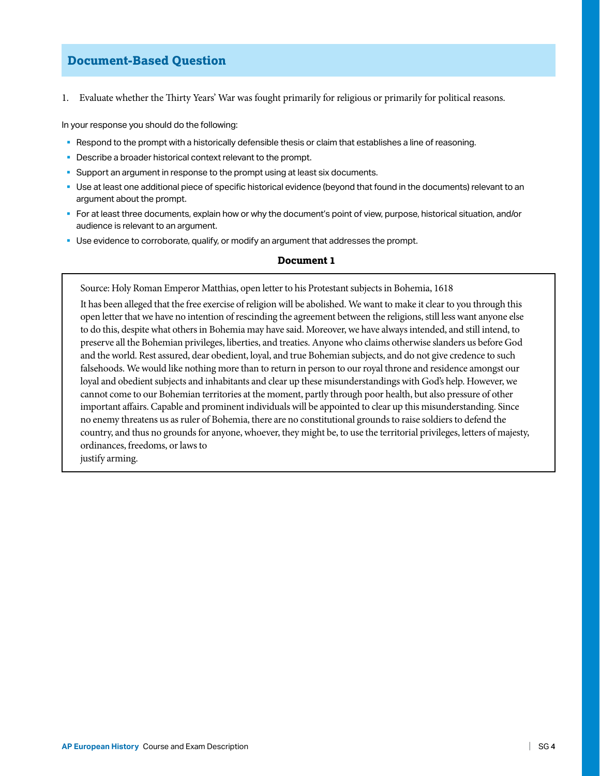### **Document-Based Question**

1. Evaluate whether the Thirty Years' War was fought primarily for religious or primarily for political reasons.

In your response you should do the following:

- Respond to the prompt with a historically defensible thesis or claim that establishes a line of reasoning.
- **Describe a broader historical context relevant to the prompt.**
- § Support an argument in response to the prompt using at least six documents.
- Use at least one additional piece of specific historical evidence (beyond that found in the documents) relevant to an argument about the prompt.
- § For at least three documents, explain how or why the document's point of view, purpose, historical situation, and/or audience is relevant to an argument.
- § Use evidence to corroborate, qualify, or modify an argument that addresses the prompt.

#### **Document 1**

Source: Holy Roman Emperor Matthias, open letter to his Protestant subjects in Bohemia, 1618

It has been alleged that the free exercise of religion will be abolished. We want to make it clear to you through this open letter that we have no intention of rescinding the agreement between the religions, still less want anyone else to do this, despite what others in Bohemia may have said. Moreover, we have always intended, and still intend, to preserve all the Bohemian privileges, liberties, and treaties. Anyone who claims otherwise slanders us before God and the world. Rest assured, dear obedient, loyal, and true Bohemian subjects, and do not give credence to such falsehoods. We would like nothing more than to return in person to our royal throne and residence amongst our loyal and obedient subjects and inhabitants and clear up these misunderstandings with God's help. However, we cannot come to our Bohemian territories at the moment, partly through poor health, but also pressure of other important affairs. Capable and prominent individuals will be appointed to clear up this misunderstanding. Since no enemy threatens us as ruler of Bohemia, there are no constitutional grounds to raise soldiers to defend the country, and thus no grounds for anyone, whoever, they might be, to use the territorial privileges, letters of majesty, ordinances, freedoms, or laws to

justify arming.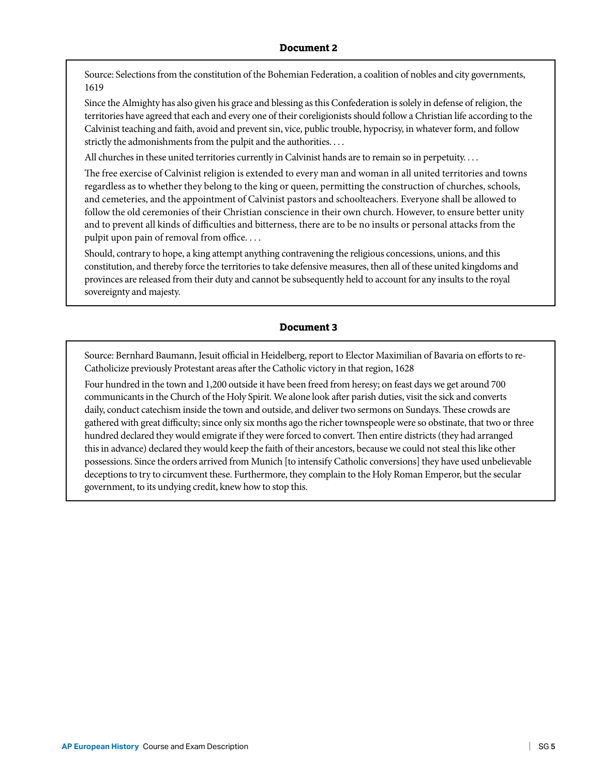Source: Selections from the constitution of the Bohemian Federation, a coalition of nobles and city governments, 1619

Since the Almighty has also given his grace and blessing as this Confederation is solely in defense of religion, the territories have agreed that each and every one of their coreligionists should follow a Christian life according to the Calvinist teaching and faith, avoid and prevent sin, vice, public trouble, hypocrisy, in whatever form, and follow strictly the admonishments from the pulpit and the authorities. . . .

All churches in these united territories currently in Calvinist hands are to remain so in perpetuity. . . .

The free exercise of Calvinist religion is extended to every man and woman in all united territories and towns regardless as to whether they belong to the king or queen, permitting the construction of churches, schools, and cemeteries, and the appointment of Calvinist pastors and schoolteachers. Everyone shall be allowed to follow the old ceremonies of their Christian conscience in their own church. However, to ensure better unity and to prevent all kinds of difficulties and bitterness, there are to be no insults or personal attacks from the pulpit upon pain of removal from office. . . .

Should, contrary to hope, a king attempt anything contravening the religious concessions, unions, and this constitution, and thereby force the territories to take defensive measures, then all of these united kingdoms and provinces are released from their duty and cannot be subsequently held to account for any insults to the royal sovereignty and majesty.

#### **Document 3**

Source: Bernhard Baumann, Jesuit official in Heidelberg, report to Elector Maximilian of Bavaria on efforts to re-Catholicize previously Protestant areas after the Catholic victory in that region, 1628

Four hundred in the town and 1,200 outside it have been freed from heresy; on feast days we get around 700 communicants in the Church of the Holy Spirit. We alone look after parish duties, visit the sick and converts daily, conduct catechism inside the town and outside, and deliver two sermons on Sundays. These crowds are gathered with great difficulty; since only six months ago the richer townspeople were so obstinate, that two or three hundred declared they would emigrate if they were forced to convert. Then entire districts (they had arranged this in advance) declared they would keep the faith of their ancestors, because we could not steal this like other possessions. Since the orders arrived from Munich [to intensify Catholic conversions] they have used unbelievable deceptions to try to circumvent these. Furthermore, they complain to the Holy Roman Emperor, but the secular government, to its undying credit, knew how to stop this.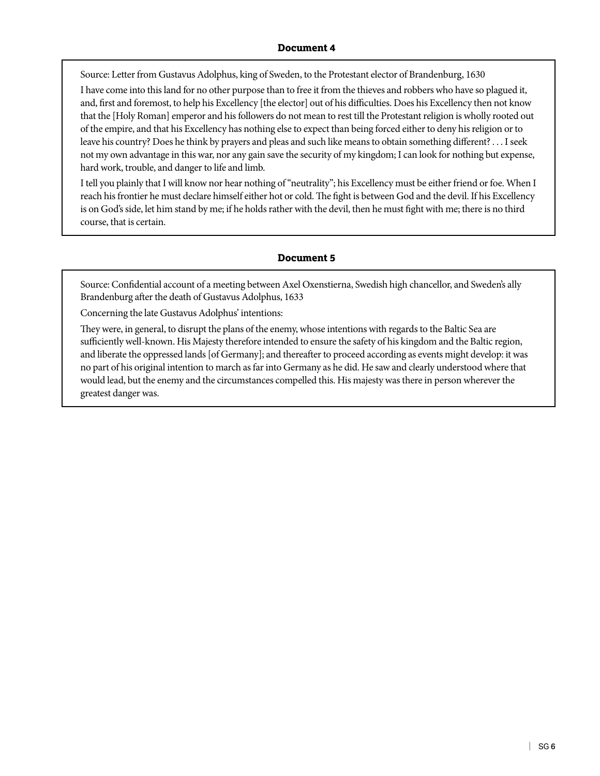### **Document 4**

Source: Letter from Gustavus Adolphus, king of Sweden, to the Protestant elector of Brandenburg, 1630

I have come into this land for no other purpose than to free it from the thieves and robbers who have so plagued it, and, first and foremost, to help his Excellency [the elector] out of his difficulties. Does his Excellency then not know that the [Holy Roman] emperor and his followers do not mean to rest till the Protestant religion is wholly rooted out of the empire, and that his Excellency has nothing else to expect than being forced either to deny his religion or to leave his country? Does he think by prayers and pleas and such like means to obtain something different? . . . I seek not my own advantage in this war, nor any gain save the security of my kingdom; I can look for nothing but expense, hard work, trouble, and danger to life and limb.

I tell you plainly that I will know nor hear nothing of "neutrality"; his Excellency must be either friend or foe. When I reach his frontier he must declare himself either hot or cold. The fight is between God and the devil. If his Excellency is on God's side, let him stand by me; if he holds rather with the devil, then he must fight with me; there is no third course, that is certain.

#### **Document 5**

Source: Confidential account of a meeting between Axel Oxenstierna, Swedish high chancellor, and Sweden's ally Brandenburg after the death of Gustavus Adolphus, 1633

Concerning the late Gustavus Adolphus' intentions:

They were, in general, to disrupt the plans of the enemy, whose intentions with regards to the Baltic Sea are sufficiently well-known. His Majesty therefore intended to ensure the safety of his kingdom and the Baltic region, and liberate the oppressed lands [of Germany]; and thereafter to proceed according as events might develop: it was no part of his original intention to march as far into Germany as he did. He saw and clearly understood where that would lead, but the enemy and the circumstances compelled this. His majesty was there in person wherever the greatest danger was.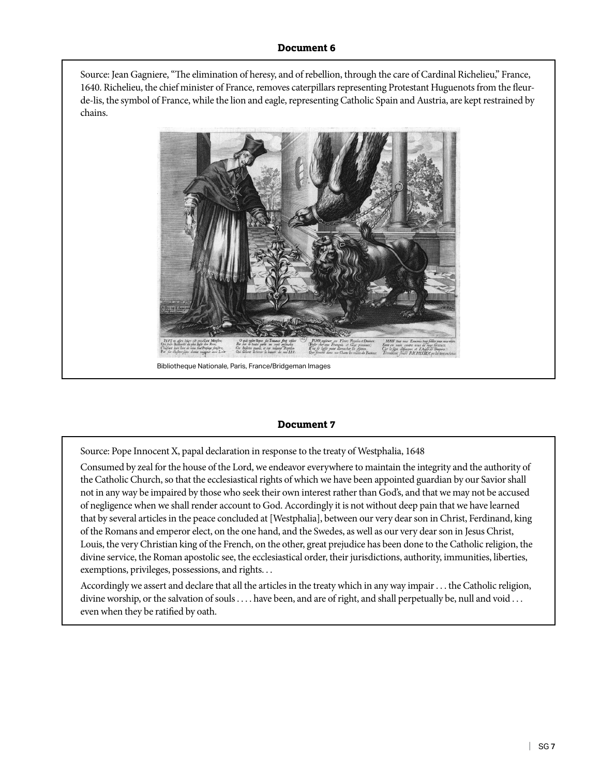### **Document 6**

Source: Jean Gagniere, "The elimination of heresy, and of rebellion, through the care of Cardinal Richelieu," France, 1640. Richelieu, the chief minister of France, removes caterpillars representing Protestant Huguenots from the fleurde-lis, the symbol of France, while the lion and eagle, representing Catholic Spain and Austria, are kept restrained by chains.



Bibliotheque Nationale, Paris, France/Bridgeman Images

#### **Document 7**

Source: Pope Innocent X, papal declaration in response to the treaty of Westphalia, 1648

Consumed by zeal for the house of the Lord, we endeavor everywhere to maintain the integrity and the authority of the Catholic Church, so that the ecclesiastical rights of which we have been appointed guardian by our Savior shall not in any way be impaired by those who seek their own interest rather than God's, and that we may not be accused of negligence when we shall render account to God. Accordingly it is not without deep pain that we have learned that by several articles in the peace concluded at [Westphalia], between our very dear son in Christ, Ferdinand, king of the Romans and emperor elect, on the one hand, and the Swedes, as well as our very dear son in Jesus Christ, Louis, the very Christian king of the French, on the other, great prejudice has been done to the Catholic religion, the divine service, the Roman apostolic see, the ecclesiastical order, their jurisdictions, authority, immunities, liberties, exemptions, privileges, possessions, and rights. . .

Accordingly we assert and declare that all the articles in the treaty which in any way impair . . . the Catholic religion, divine worship, or the salvation of souls . . . . have been, and are of right, and shall perpetually be, null and void . . . even when they be ratified by oath.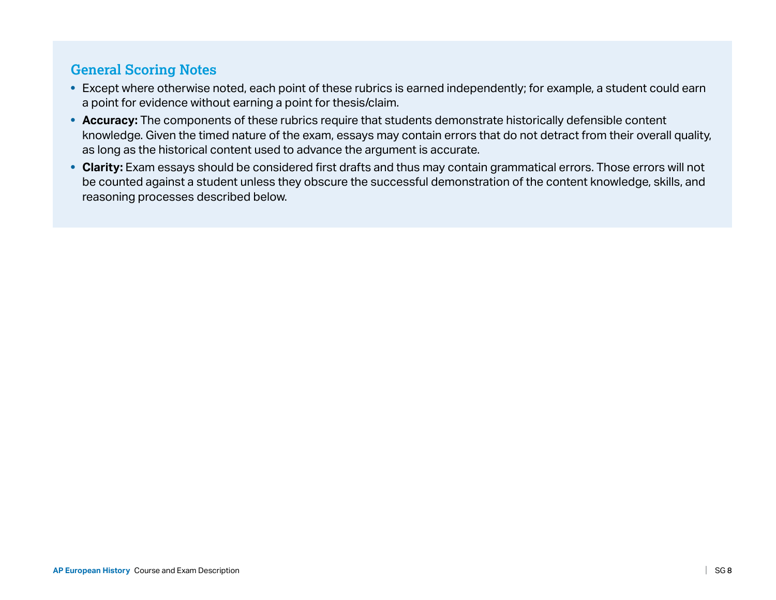# **General Scoring Notes**

- Except where otherwise noted, each point of these rubrics is earned independently; for example, a student could earn a point for evidence without earning a point for thesis/claim.
- **Accuracy:** The components of these rubrics require that students demonstrate historically defensible content knowledge. Given the timed nature of the exam, essays may contain errors that do not detract from their overall quality, as long as the historical content used to advance the argument is accurate.
- **Clarity:** Exam essays should be considered first drafts and thus may contain grammatical errors. Those errors will not be counted against a student unless they obscure the successful demonstration of the content knowledge, skills, and reasoning processes described below.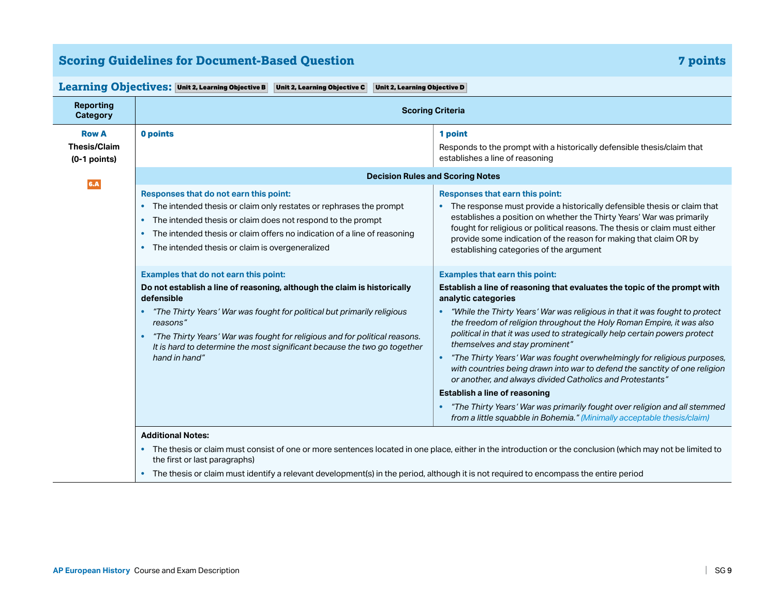# **Scoring Guidelines for Document-Based Question 7 points**

| <b>Reporting</b><br><b>Category</b>   | <b>Scoring Criteria</b>                                                                                                                                                                                                                                                                                                                                                                                        |                                                                                                                                                                                                                                                                                                                                                                                                                                                                                                                                                                                                                                                                                                                                                                                                                                                                  |
|---------------------------------------|----------------------------------------------------------------------------------------------------------------------------------------------------------------------------------------------------------------------------------------------------------------------------------------------------------------------------------------------------------------------------------------------------------------|------------------------------------------------------------------------------------------------------------------------------------------------------------------------------------------------------------------------------------------------------------------------------------------------------------------------------------------------------------------------------------------------------------------------------------------------------------------------------------------------------------------------------------------------------------------------------------------------------------------------------------------------------------------------------------------------------------------------------------------------------------------------------------------------------------------------------------------------------------------|
| <b>Row A</b>                          | 0 points                                                                                                                                                                                                                                                                                                                                                                                                       | 1 point                                                                                                                                                                                                                                                                                                                                                                                                                                                                                                                                                                                                                                                                                                                                                                                                                                                          |
| <b>Thesis/Claim</b><br>$(0-1$ points) |                                                                                                                                                                                                                                                                                                                                                                                                                | Responds to the prompt with a historically defensible thesis/claim that<br>establishes a line of reasoning                                                                                                                                                                                                                                                                                                                                                                                                                                                                                                                                                                                                                                                                                                                                                       |
| 6.A                                   |                                                                                                                                                                                                                                                                                                                                                                                                                | <b>Decision Rules and Scoring Notes</b>                                                                                                                                                                                                                                                                                                                                                                                                                                                                                                                                                                                                                                                                                                                                                                                                                          |
|                                       | Responses that do not earn this point:<br>The intended thesis or claim only restates or rephrases the prompt<br>The intended thesis or claim does not respond to the prompt<br>$\bullet$<br>The intended thesis or claim offers no indication of a line of reasoning<br>$\bullet$<br>The intended thesis or claim is overgeneralized<br>$\bullet$                                                              | Responses that earn this point:<br>The response must provide a historically defensible thesis or claim that<br>establishes a position on whether the Thirty Years' War was primarily<br>fought for religious or political reasons. The thesis or claim must either<br>provide some indication of the reason for making that claim OR by<br>establishing categories of the argument                                                                                                                                                                                                                                                                                                                                                                                                                                                                               |
|                                       | Examples that do not earn this point:<br>Do not establish a line of reasoning, although the claim is historically<br>defensible<br>"The Thirty Years' War was fought for political but primarily religious<br>$\bullet$<br>reasons"<br>"The Thirty Years' War was fought for religious and for political reasons.<br>It is hard to determine the most significant because the two go together<br>hand in hand" | <b>Examples that earn this point:</b><br>Establish a line of reasoning that evaluates the topic of the prompt with<br>analytic categories<br>"While the Thirty Years' War was religious in that it was fought to protect<br>٠<br>the freedom of religion throughout the Holy Roman Empire, it was also<br>political in that it was used to strategically help certain powers protect<br>themselves and stay prominent"<br>"The Thirty Years' War was fought overwhelmingly for religious purposes,<br>$\bullet$<br>with countries being drawn into war to defend the sanctity of one religion<br>or another, and always divided Catholics and Protestants"<br>Establish a line of reasoning<br>"The Thirty Years' War was primarily fought over religion and all stemmed<br>$\bullet$<br>from a little squabble in Bohemia." (Minimally acceptable thesis/claim) |
|                                       | <b>Additional Notes:</b><br>the first or last paragraphs)<br>The thesis or claim must identify a relevant development(s) in the period, although it is not required to encompass the entire period                                                                                                                                                                                                             | The thesis or claim must consist of one or more sentences located in one place, either in the introduction or the conclusion (which may not be limited to                                                                                                                                                                                                                                                                                                                                                                                                                                                                                                                                                                                                                                                                                                        |

#### **Learning Objectives: Unit 2, Learning Objective B | Unit 2, Learning Objective C | Unit 2, Learning Objective D**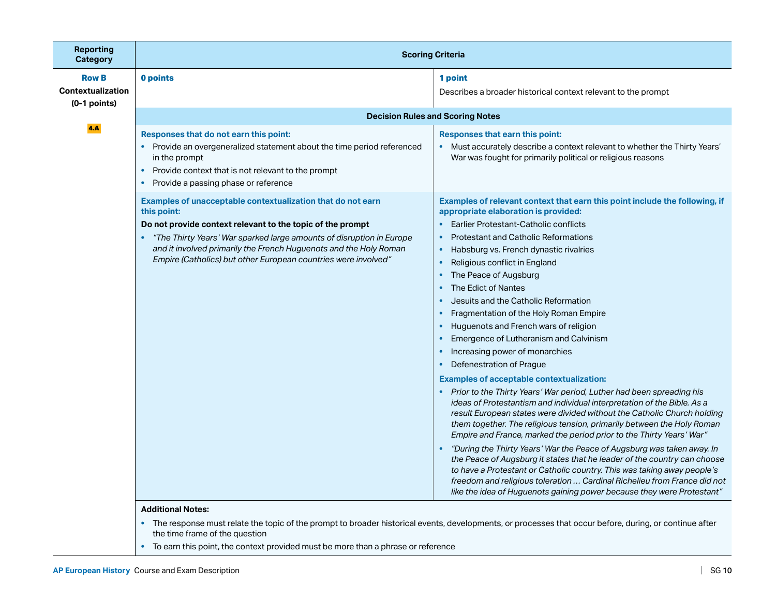| <b>Reporting</b><br><b>Category</b>                        | <b>Scoring Criteria</b>                                                                                                                                                                                                                                  |                                                                                                                                                                                                                                                                                                                                                                                                                                                                                                                                                                                                                                                                                                                                                                                                                         |  |
|------------------------------------------------------------|----------------------------------------------------------------------------------------------------------------------------------------------------------------------------------------------------------------------------------------------------------|-------------------------------------------------------------------------------------------------------------------------------------------------------------------------------------------------------------------------------------------------------------------------------------------------------------------------------------------------------------------------------------------------------------------------------------------------------------------------------------------------------------------------------------------------------------------------------------------------------------------------------------------------------------------------------------------------------------------------------------------------------------------------------------------------------------------------|--|
| <b>Row B</b><br><b>Contextualization</b><br>$(0-1$ points) | 0 points                                                                                                                                                                                                                                                 | 1 point<br>Describes a broader historical context relevant to the prompt                                                                                                                                                                                                                                                                                                                                                                                                                                                                                                                                                                                                                                                                                                                                                |  |
|                                                            | <b>Decision Rules and Scoring Notes</b>                                                                                                                                                                                                                  |                                                                                                                                                                                                                                                                                                                                                                                                                                                                                                                                                                                                                                                                                                                                                                                                                         |  |
| <b>4.A</b>                                                 | Responses that do not earn this point:<br>Provide an overgeneralized statement about the time period referenced<br>in the prompt<br>Provide context that is not relevant to the prompt<br>$\bullet$<br>Provide a passing phase or reference<br>$\bullet$ | Responses that earn this point:<br>Must accurately describe a context relevant to whether the Thirty Years'<br>War was fought for primarily political or religious reasons                                                                                                                                                                                                                                                                                                                                                                                                                                                                                                                                                                                                                                              |  |
|                                                            | Examples of unacceptable contextualization that do not earn<br>this point:                                                                                                                                                                               | Examples of relevant context that earn this point include the following, if<br>appropriate elaboration is provided:                                                                                                                                                                                                                                                                                                                                                                                                                                                                                                                                                                                                                                                                                                     |  |
|                                                            | Do not provide context relevant to the topic of the prompt<br>"The Thirty Years' War sparked large amounts of disruption in Europe                                                                                                                       | <b>Earlier Protestant-Catholic conflicts</b><br><b>Protestant and Catholic Reformations</b><br>$\bullet$                                                                                                                                                                                                                                                                                                                                                                                                                                                                                                                                                                                                                                                                                                                |  |
|                                                            | and it involved primarily the French Huguenots and the Holy Roman<br>Empire (Catholics) but other European countries were involved"                                                                                                                      | Habsburg vs. French dynastic rivalries<br>$\bullet$<br>Religious conflict in England<br>$\bullet$<br>The Peace of Augsburg<br>$\bullet$<br>The Edict of Nantes<br>$\bullet$<br>Jesuits and the Catholic Reformation<br>$\bullet$<br>Fragmentation of the Holy Roman Empire<br>$\bullet$<br>Huguenots and French wars of religion<br>$\bullet$                                                                                                                                                                                                                                                                                                                                                                                                                                                                           |  |
|                                                            |                                                                                                                                                                                                                                                          | Emergence of Lutheranism and Calvinism<br>Increasing power of monarchies<br>$\bullet$<br>Defenestration of Prague<br>$\bullet$                                                                                                                                                                                                                                                                                                                                                                                                                                                                                                                                                                                                                                                                                          |  |
|                                                            |                                                                                                                                                                                                                                                          | <b>Examples of acceptable contextualization:</b><br>Prior to the Thirty Years' War period, Luther had been spreading his<br>ideas of Protestantism and individual interpretation of the Bible. As a<br>result European states were divided without the Catholic Church holding<br>them together. The religious tension, primarily between the Holy Roman<br>Empire and France, marked the period prior to the Thirty Years' War"<br>"During the Thirty Years' War the Peace of Augsburg was taken away. In<br>the Peace of Augsburg it states that he leader of the country can choose<br>to have a Protestant or Catholic country. This was taking away people's<br>freedom and religious toleration  Cardinal Richelieu from France did not<br>like the idea of Huguenots gaining power because they were Protestant" |  |

#### **Additional Notes:**

- The response must relate the topic of the prompt to broader historical events, developments, or processes that occur before, during, or continue after the time frame of the question
- To earn this point, the context provided must be more than a phrase or reference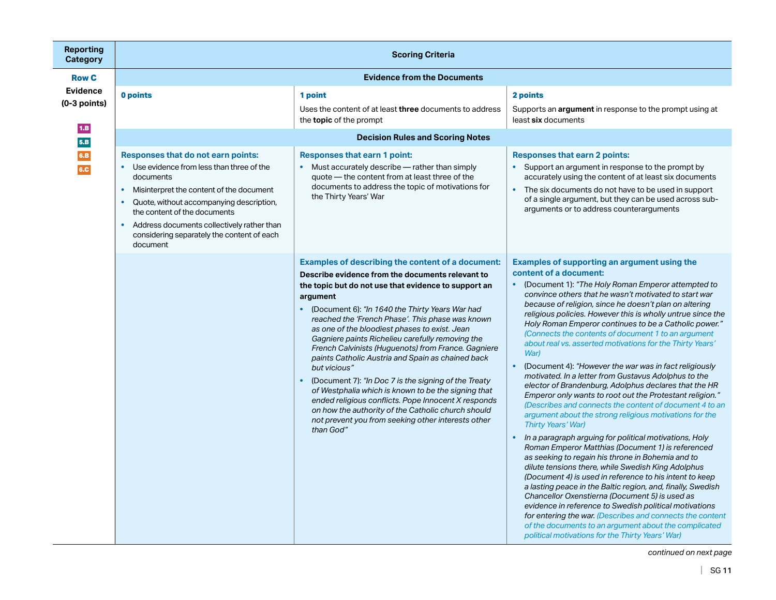| <b>Reporting</b><br><b>Category</b>      | <b>Scoring Criteria</b>                                                                                                                                                                                                                   |                                                                                                                                                                                                                                                                                                                                                                                                                                                                                                                                                                                                                                                                                                                                                                                                                                                   |                                                                                                                                                                                                                                                                                                                                                                                                                                                                                                                                                                                                                                                                                                                                                                                                                                                                                                                                                                                                                                                                                                                                                                                                                                                                                                                                                                                                                                                                                                                                                                     |
|------------------------------------------|-------------------------------------------------------------------------------------------------------------------------------------------------------------------------------------------------------------------------------------------|---------------------------------------------------------------------------------------------------------------------------------------------------------------------------------------------------------------------------------------------------------------------------------------------------------------------------------------------------------------------------------------------------------------------------------------------------------------------------------------------------------------------------------------------------------------------------------------------------------------------------------------------------------------------------------------------------------------------------------------------------------------------------------------------------------------------------------------------------|---------------------------------------------------------------------------------------------------------------------------------------------------------------------------------------------------------------------------------------------------------------------------------------------------------------------------------------------------------------------------------------------------------------------------------------------------------------------------------------------------------------------------------------------------------------------------------------------------------------------------------------------------------------------------------------------------------------------------------------------------------------------------------------------------------------------------------------------------------------------------------------------------------------------------------------------------------------------------------------------------------------------------------------------------------------------------------------------------------------------------------------------------------------------------------------------------------------------------------------------------------------------------------------------------------------------------------------------------------------------------------------------------------------------------------------------------------------------------------------------------------------------------------------------------------------------|
| <b>Row C</b>                             |                                                                                                                                                                                                                                           | <b>Evidence from the Documents</b>                                                                                                                                                                                                                                                                                                                                                                                                                                                                                                                                                                                                                                                                                                                                                                                                                |                                                                                                                                                                                                                                                                                                                                                                                                                                                                                                                                                                                                                                                                                                                                                                                                                                                                                                                                                                                                                                                                                                                                                                                                                                                                                                                                                                                                                                                                                                                                                                     |
| <b>Evidence</b><br>$(0-3$ points)<br>1.B | 0 points                                                                                                                                                                                                                                  | 1 point<br>Uses the content of at least <b>three</b> documents to address<br>the <b>topic</b> of the prompt                                                                                                                                                                                                                                                                                                                                                                                                                                                                                                                                                                                                                                                                                                                                       | 2 points<br>Supports an <b>argument</b> in response to the prompt using at<br>least six documents                                                                                                                                                                                                                                                                                                                                                                                                                                                                                                                                                                                                                                                                                                                                                                                                                                                                                                                                                                                                                                                                                                                                                                                                                                                                                                                                                                                                                                                                   |
| 5.B<br>6.B                               | Responses that do not earn points:<br>Use evidence from less than three of the<br>٠                                                                                                                                                       | <b>Decision Rules and Scoring Notes</b><br><b>Responses that earn 1 point:</b><br>Must accurately describe - rather than simply<br>$\bullet$                                                                                                                                                                                                                                                                                                                                                                                                                                                                                                                                                                                                                                                                                                      | <b>Responses that earn 2 points:</b><br>• Support an argument in response to the prompt by                                                                                                                                                                                                                                                                                                                                                                                                                                                                                                                                                                                                                                                                                                                                                                                                                                                                                                                                                                                                                                                                                                                                                                                                                                                                                                                                                                                                                                                                          |
| 6.C                                      | documents<br>Misinterpret the content of the document<br>Quote, without accompanying description,<br>the content of the documents<br>Address documents collectively rather than<br>considering separately the content of each<br>document | quote - the content from at least three of the<br>documents to address the topic of motivations for<br>the Thirty Years' War                                                                                                                                                                                                                                                                                                                                                                                                                                                                                                                                                                                                                                                                                                                      | accurately using the content of at least six documents<br>• The six documents do not have to be used in support<br>of a single argument, but they can be used across sub-<br>arguments or to address counterarguments                                                                                                                                                                                                                                                                                                                                                                                                                                                                                                                                                                                                                                                                                                                                                                                                                                                                                                                                                                                                                                                                                                                                                                                                                                                                                                                                               |
|                                          |                                                                                                                                                                                                                                           | <b>Examples of describing the content of a document:</b><br>Describe evidence from the documents relevant to<br>the topic but do not use that evidence to support an<br>argument<br>(Document 6): "In 1640 the Thirty Years War had<br>$\bullet$<br>reached the 'French Phase'. This phase was known<br>as one of the bloodiest phases to exist. Jean<br>Gagniere paints Richelieu carefully removing the<br>French Calvinists (Huguenots) from France. Gagniere<br>paints Catholic Austria and Spain as chained back<br>but vicious"<br>(Document 7): "In Doc 7 is the signing of the Treaty<br>$\bullet$<br>of Westphalia which is known to be the signing that<br>ended religious conflicts. Pope Innocent X responds<br>on how the authority of the Catholic church should<br>not prevent you from seeking other interests other<br>than God" | <b>Examples of supporting an argument using the</b><br>content of a document:<br>• (Document 1): "The Holy Roman Emperor attempted to<br>convince others that he wasn't motivated to start war<br>because of religion, since he doesn't plan on altering<br>religious policies. However this is wholly untrue since the<br>Holy Roman Emperor continues to be a Catholic power."<br>(Connects the contents of document 1 to an argument<br>about real vs. asserted motivations for the Thirty Years'<br>War)<br>(Document 4): "However the war was in fact religiously<br>$\bullet$<br>motivated. In a letter from Gustavus Adolphus to the<br>elector of Brandenburg, Adolphus declares that the HR<br>Emperor only wants to root out the Protestant religion."<br>(Describes and connects the content of document 4 to an<br>argument about the strong religious motivations for the<br>Thirty Years' War)<br>In a paragraph arguing for political motivations, Holy<br>$\bullet$<br>Roman Emperor Matthias (Document 1) is referenced<br>as seeking to regain his throne in Bohemia and to<br>dilute tensions there, while Swedish King Adolphus<br>(Document 4) is used in reference to his intent to keep<br>a lasting peace in the Baltic region, and, finally, Swedish<br>Chancellor Oxenstierna (Document 5) is used as<br>evidence in reference to Swedish political motivations<br>for entering the war. (Describes and connects the content<br>of the documents to an argument about the complicated<br>political motivations for the Thirty Years' War) |

*continued on next page*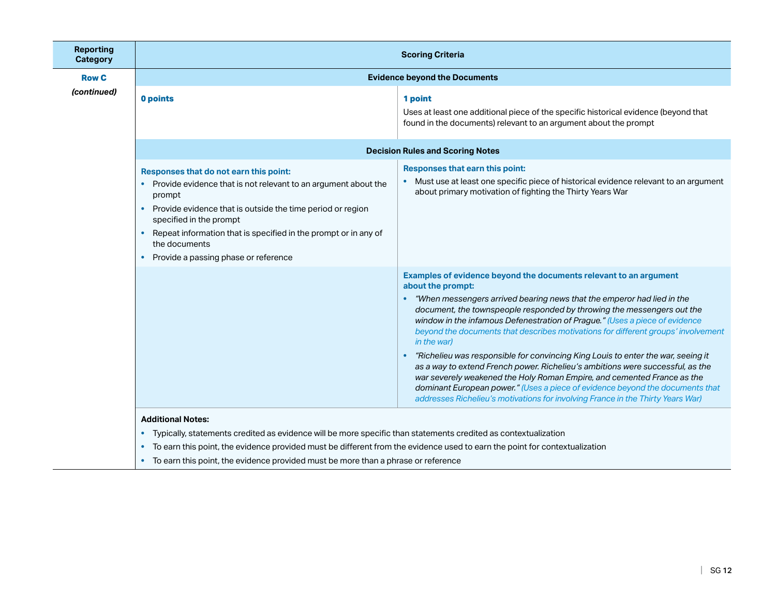| <b>Reporting</b><br><b>Category</b> |                                                                                                                                                                                                                                                                                                                                                        | <b>Scoring Criteria</b>                                                                                                                                                                                                                                                                                                                                                                                                                                                                                                                                                                                                                                                                                                                                                                                                                            |
|-------------------------------------|--------------------------------------------------------------------------------------------------------------------------------------------------------------------------------------------------------------------------------------------------------------------------------------------------------------------------------------------------------|----------------------------------------------------------------------------------------------------------------------------------------------------------------------------------------------------------------------------------------------------------------------------------------------------------------------------------------------------------------------------------------------------------------------------------------------------------------------------------------------------------------------------------------------------------------------------------------------------------------------------------------------------------------------------------------------------------------------------------------------------------------------------------------------------------------------------------------------------|
| <b>Row C</b>                        |                                                                                                                                                                                                                                                                                                                                                        | <b>Evidence beyond the Documents</b>                                                                                                                                                                                                                                                                                                                                                                                                                                                                                                                                                                                                                                                                                                                                                                                                               |
| (continued)                         | 0 points                                                                                                                                                                                                                                                                                                                                               | 1 point<br>Uses at least one additional piece of the specific historical evidence (beyond that<br>found in the documents) relevant to an argument about the prompt                                                                                                                                                                                                                                                                                                                                                                                                                                                                                                                                                                                                                                                                                 |
|                                     |                                                                                                                                                                                                                                                                                                                                                        | <b>Decision Rules and Scoring Notes</b>                                                                                                                                                                                                                                                                                                                                                                                                                                                                                                                                                                                                                                                                                                                                                                                                            |
|                                     | Responses that do not earn this point:<br>• Provide evidence that is not relevant to an argument about the<br>prompt<br>Provide evidence that is outside the time period or region<br>$\bullet$<br>specified in the prompt<br>Repeat information that is specified in the prompt or in any of<br>the documents<br>Provide a passing phase or reference | Responses that earn this point:<br>• Must use at least one specific piece of historical evidence relevant to an argument<br>about primary motivation of fighting the Thirty Years War                                                                                                                                                                                                                                                                                                                                                                                                                                                                                                                                                                                                                                                              |
|                                     |                                                                                                                                                                                                                                                                                                                                                        | Examples of evidence beyond the documents relevant to an argument<br>about the prompt:<br>"When messengers arrived bearing news that the emperor had lied in the<br>document, the townspeople responded by throwing the messengers out the<br>window in the infamous Defenestration of Prague." (Uses a piece of evidence<br>beyond the documents that describes motivations for different groups' involvement<br>in the war)<br>"Richelieu was responsible for convincing King Louis to enter the war, seeing it<br>as a way to extend French power. Richelieu's ambitions were successful, as the<br>war severely weakened the Holy Roman Empire, and cemented France as the<br>dominant European power." (Uses a piece of evidence beyond the documents that<br>addresses Richelieu's motivations for involving France in the Thirty Years War) |
|                                     | <b>Additional Notes:</b><br>• Typically, statements credited as evidence will be more specific than statements credited as contextualization                                                                                                                                                                                                           |                                                                                                                                                                                                                                                                                                                                                                                                                                                                                                                                                                                                                                                                                                                                                                                                                                                    |

- To earn this point, the evidence provided must be different from the evidence used to earn the point for contextualization
- To earn this point, the evidence provided must be more than a phrase or reference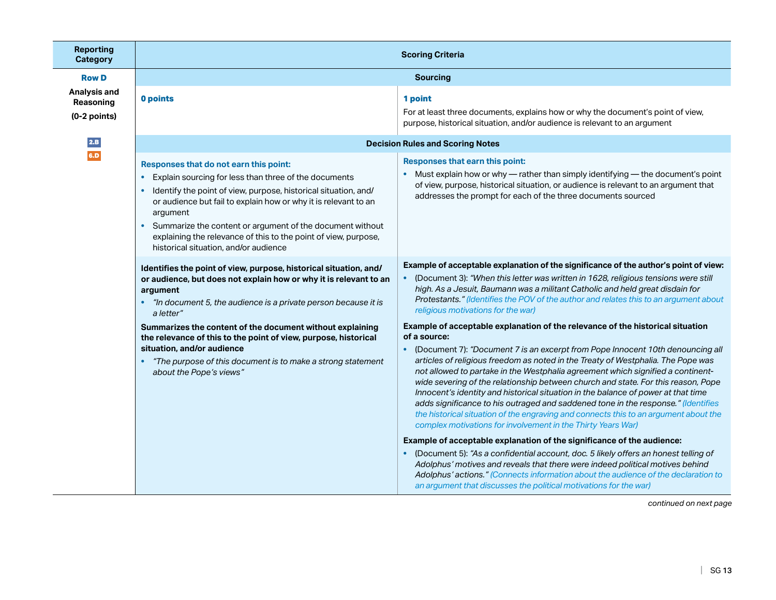| <b>Reporting</b><br><b>Category</b>         | <b>Scoring Criteria</b>                                                                                                                                                                                                                                                                                                                                                                                                                   |                                                                                                                                                                                                                                                                                                                                                                                                                                                                                                                                                                                                                                                                                                                                                                                |
|---------------------------------------------|-------------------------------------------------------------------------------------------------------------------------------------------------------------------------------------------------------------------------------------------------------------------------------------------------------------------------------------------------------------------------------------------------------------------------------------------|--------------------------------------------------------------------------------------------------------------------------------------------------------------------------------------------------------------------------------------------------------------------------------------------------------------------------------------------------------------------------------------------------------------------------------------------------------------------------------------------------------------------------------------------------------------------------------------------------------------------------------------------------------------------------------------------------------------------------------------------------------------------------------|
| <b>Row D</b>                                | <b>Sourcing</b>                                                                                                                                                                                                                                                                                                                                                                                                                           |                                                                                                                                                                                                                                                                                                                                                                                                                                                                                                                                                                                                                                                                                                                                                                                |
| Analysis and<br>Reasoning<br>$(0-2$ points) | 0 points                                                                                                                                                                                                                                                                                                                                                                                                                                  | 1 point<br>For at least three documents, explains how or why the document's point of view,<br>purpose, historical situation, and/or audience is relevant to an argument                                                                                                                                                                                                                                                                                                                                                                                                                                                                                                                                                                                                        |
| 2.B                                         |                                                                                                                                                                                                                                                                                                                                                                                                                                           | <b>Decision Rules and Scoring Notes</b>                                                                                                                                                                                                                                                                                                                                                                                                                                                                                                                                                                                                                                                                                                                                        |
| 6.D                                         | Responses that do not earn this point:<br>Explain sourcing for less than three of the documents<br>$\bullet$<br>Identify the point of view, purpose, historical situation, and/<br>or audience but fail to explain how or why it is relevant to an<br>argument<br>• Summarize the content or argument of the document without<br>explaining the relevance of this to the point of view, purpose,<br>historical situation, and/or audience | Responses that earn this point:<br>• Must explain how or why — rather than simply identifying — the document's point<br>of view, purpose, historical situation, or audience is relevant to an argument that<br>addresses the prompt for each of the three documents sourced                                                                                                                                                                                                                                                                                                                                                                                                                                                                                                    |
|                                             | Identifies the point of view, purpose, historical situation, and/<br>or audience, but does not explain how or why it is relevant to an<br>argument<br>"In document 5, the audience is a private person because it is<br>a letter"                                                                                                                                                                                                         | Example of acceptable explanation of the significance of the author's point of view:<br>(Document 3): "When this letter was written in 1628, religious tensions were still<br>high. As a Jesuit, Baumann was a militant Catholic and held great disdain for<br>Protestants." (Identifies the POV of the author and relates this to an argument about<br>religious motivations for the war)                                                                                                                                                                                                                                                                                                                                                                                     |
|                                             | Summarizes the content of the document without explaining<br>the relevance of this to the point of view, purpose, historical<br>situation, and/or audience<br>"The purpose of this document is to make a strong statement<br>about the Pope's views"                                                                                                                                                                                      | Example of acceptable explanation of the relevance of the historical situation<br>of a source:<br>(Document 7): "Document 7 is an excerpt from Pope Innocent 10th denouncing all<br>articles of religious freedom as noted in the Treaty of Westphalia. The Pope was<br>not allowed to partake in the Westphalia agreement which signified a continent-<br>wide severing of the relationship between church and state. For this reason, Pope<br>Innocent's identity and historical situation in the balance of power at that time<br>adds significance to his outraged and saddened tone in the response." (Identifies<br>the historical situation of the engraving and connects this to an argument about the<br>complex motivations for involvement in the Thirty Years War) |
|                                             |                                                                                                                                                                                                                                                                                                                                                                                                                                           | Example of acceptable explanation of the significance of the audience:<br>(Document 5): "As a confidential account, doc. 5 likely offers an honest telling of<br>Adolphus' motives and reveals that there were indeed political motives behind<br>Adolphus' actions." (Connects information about the audience of the declaration to<br>an argument that discusses the political motivations for the war)                                                                                                                                                                                                                                                                                                                                                                      |

*continued on next page*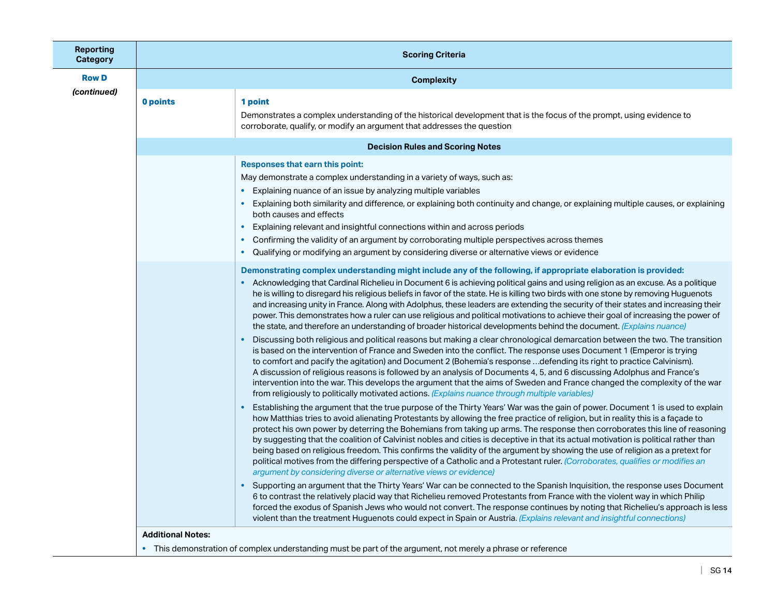| <b>Reporting</b><br><b>Category</b> | <b>Scoring Criteria</b>                 |                                                                                                                                                                                                                                                                                                                                                                                                                                                                                                                                                                                                                                                                                                                                                                                                                                                                                                                                                                                                                                                                                                                                                                                                                                                                                                                                                                                                                                                                                                                                                                                                                                                                                                                                                                                                                                                                                                                                             |  |
|-------------------------------------|-----------------------------------------|---------------------------------------------------------------------------------------------------------------------------------------------------------------------------------------------------------------------------------------------------------------------------------------------------------------------------------------------------------------------------------------------------------------------------------------------------------------------------------------------------------------------------------------------------------------------------------------------------------------------------------------------------------------------------------------------------------------------------------------------------------------------------------------------------------------------------------------------------------------------------------------------------------------------------------------------------------------------------------------------------------------------------------------------------------------------------------------------------------------------------------------------------------------------------------------------------------------------------------------------------------------------------------------------------------------------------------------------------------------------------------------------------------------------------------------------------------------------------------------------------------------------------------------------------------------------------------------------------------------------------------------------------------------------------------------------------------------------------------------------------------------------------------------------------------------------------------------------------------------------------------------------------------------------------------------------|--|
| <b>Row D</b>                        |                                         | <b>Complexity</b>                                                                                                                                                                                                                                                                                                                                                                                                                                                                                                                                                                                                                                                                                                                                                                                                                                                                                                                                                                                                                                                                                                                                                                                                                                                                                                                                                                                                                                                                                                                                                                                                                                                                                                                                                                                                                                                                                                                           |  |
| (continued)                         | 0 points                                | 1 point<br>Demonstrates a complex understanding of the historical development that is the focus of the prompt, using evidence to<br>corroborate, qualify, or modify an argument that addresses the question                                                                                                                                                                                                                                                                                                                                                                                                                                                                                                                                                                                                                                                                                                                                                                                                                                                                                                                                                                                                                                                                                                                                                                                                                                                                                                                                                                                                                                                                                                                                                                                                                                                                                                                                 |  |
|                                     | <b>Decision Rules and Scoring Notes</b> |                                                                                                                                                                                                                                                                                                                                                                                                                                                                                                                                                                                                                                                                                                                                                                                                                                                                                                                                                                                                                                                                                                                                                                                                                                                                                                                                                                                                                                                                                                                                                                                                                                                                                                                                                                                                                                                                                                                                             |  |
|                                     | $\bullet$                               | <b>Responses that earn this point:</b><br>May demonstrate a complex understanding in a variety of ways, such as:<br>Explaining nuance of an issue by analyzing multiple variables<br>Explaining both similarity and difference, or explaining both continuity and change, or explaining multiple causes, or explaining<br>both causes and effects<br>Explaining relevant and insightful connections within and across periods<br>Confirming the validity of an argument by corroborating multiple perspectives across themes<br>$\bullet$<br>Qualifying or modifying an argument by considering diverse or alternative views or evidence<br>٠                                                                                                                                                                                                                                                                                                                                                                                                                                                                                                                                                                                                                                                                                                                                                                                                                                                                                                                                                                                                                                                                                                                                                                                                                                                                                               |  |
|                                     |                                         | Demonstrating complex understanding might include any of the following, if appropriate elaboration is provided:<br>Acknowledging that Cardinal Richelieu in Document 6 is achieving political gains and using religion as an excuse. As a politique<br>he is willing to disregard his religious beliefs in favor of the state. He is killing two birds with one stone by removing Huguenots<br>and increasing unity in France. Along with Adolphus, these leaders are extending the security of their states and increasing their<br>power. This demonstrates how a ruler can use religious and political motivations to achieve their goal of increasing the power of<br>the state, and therefore an understanding of broader historical developments behind the document. (Explains nuance)<br>Discussing both religious and political reasons but making a clear chronological demarcation between the two. The transition<br>is based on the intervention of France and Sweden into the conflict. The response uses Document 1 (Emperor is trying<br>to comfort and pacify the agitation) and Document 2 (Bohemia's response defending its right to practice Calvinism).<br>A discussion of religious reasons is followed by an analysis of Documents 4, 5, and 6 discussing Adolphus and France's<br>intervention into the war. This develops the argument that the aims of Sweden and France changed the complexity of the war<br>from religiously to politically motivated actions. (Explains nuance through multiple variables)<br>Establishing the argument that the true purpose of the Thirty Years' War was the gain of power. Document 1 is used to explain<br>how Matthias tries to avoid alienating Protestants by allowing the free practice of religion, but in reality this is a façade to<br>protect his own power by deterring the Bohemians from taking up arms. The response then corroborates this line of reasoning |  |
|                                     | <b>Additional Notes:</b><br>٠           | by suggesting that the coalition of Calvinist nobles and cities is deceptive in that its actual motivation is political rather than<br>being based on religious freedom. This confirms the validity of the argument by showing the use of religion as a pretext for<br>political motives from the differing perspective of a Catholic and a Protestant ruler. (Corroborates, qualifies or modifies an<br>argument by considering diverse or alternative views or evidence)<br>Supporting an argument that the Thirty Years' War can be connected to the Spanish Inquisition, the response uses Document<br>6 to contrast the relatively placid way that Richelieu removed Protestants from France with the violent way in which Philip<br>forced the exodus of Spanish Jews who would not convert. The response continues by noting that Richelieu's approach is less<br>violent than the treatment Huguenots could expect in Spain or Austria. (Explains relevant and insightful connections)<br>This demonstration of complex understanding must be part of the argument, not merely a phrase or reference                                                                                                                                                                                                                                                                                                                                                                                                                                                                                                                                                                                                                                                                                                                                                                                                                                |  |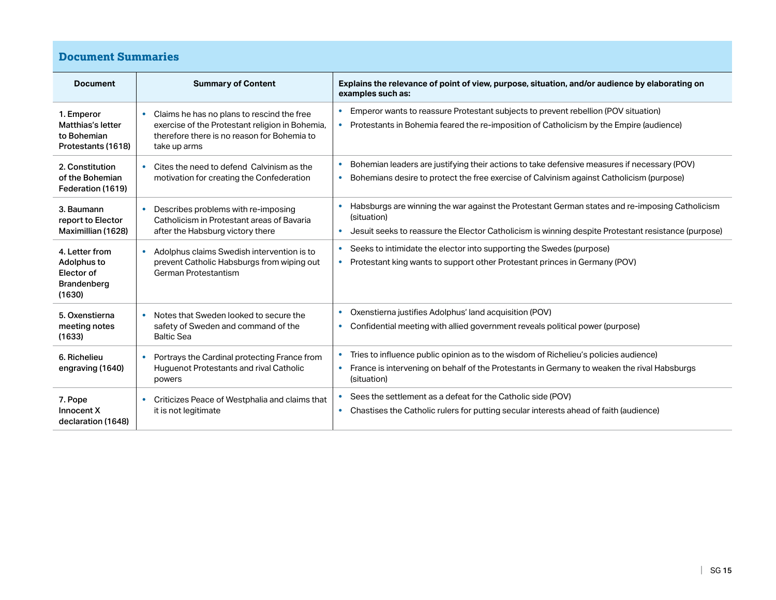# **Document Summaries**

| <b>Document</b>                                                      | <b>Summary of Content</b>                                                                                                                                                 | Explains the relevance of point of view, purpose, situation, and/or audience by elaborating on<br>examples such as:                                                                                                       |
|----------------------------------------------------------------------|---------------------------------------------------------------------------------------------------------------------------------------------------------------------------|---------------------------------------------------------------------------------------------------------------------------------------------------------------------------------------------------------------------------|
| 1. Emperor<br>Matthias's letter<br>to Bohemian<br>Protestants (1618) | Claims he has no plans to rescind the free<br>$\bullet$<br>exercise of the Protestant religion in Bohemia,<br>therefore there is no reason for Bohemia to<br>take up arms | Emperor wants to reassure Protestant subjects to prevent rebellion (POV situation)<br>Protestants in Bohemia feared the re-imposition of Catholicism by the Empire (audience)<br>$\bullet$                                |
| 2. Constitution<br>of the Bohemian<br>Federation (1619)              | Cites the need to defend Calvinism as the<br>motivation for creating the Confederation                                                                                    | Bohemian leaders are justifying their actions to take defensive measures if necessary (POV)<br>٠<br>Bohemians desire to protect the free exercise of Calvinism against Catholicism (purpose)                              |
| 3. Baumann<br>report to Elector<br>Maximillian (1628)                | Describes problems with re-imposing<br>Catholicism in Protestant areas of Bavaria<br>after the Habsburg victory there                                                     | Habsburgs are winning the war against the Protestant German states and re-imposing Catholicism<br>(situation)<br>Jesuit seeks to reassure the Elector Catholicism is winning despite Protestant resistance (purpose)<br>٠ |
| 4. Letter from<br>Adolphus to<br>Elector of<br>Brandenberg<br>(1630) | Adolphus claims Swedish intervention is to<br>$\bullet$<br>prevent Catholic Habsburgs from wiping out<br>German Protestantism                                             | Seeks to intimidate the elector into supporting the Swedes (purpose)<br>Protestant king wants to support other Protestant princes in Germany (POV)<br>$\bullet$                                                           |
| 5. Oxenstierna<br>meeting notes<br>(1633)                            | Notes that Sweden looked to secure the<br>safety of Sweden and command of the<br><b>Baltic Sea</b>                                                                        | Oxenstierna justifies Adolphus' land acquisition (POV)<br>$\bullet$<br>Confidential meeting with allied government reveals political power (purpose)<br>$\bullet$                                                         |
| 6. Richelieu<br>engraving (1640)                                     | Portrays the Cardinal protecting France from<br><b>Huguenot Protestants and rival Catholic</b><br>powers                                                                  | Tries to influence public opinion as to the wisdom of Richelieu's policies audience)<br>France is intervening on behalf of the Protestants in Germany to weaken the rival Habsburgs<br>$\bullet$<br>(situation)           |
| 7. Pope<br>Innocent X<br>declaration (1648)                          | Criticizes Peace of Westphalia and claims that<br>it is not legitimate                                                                                                    | Sees the settlement as a defeat for the Catholic side (POV)<br>Chastises the Catholic rulers for putting secular interests ahead of faith (audience)<br>$\bullet$                                                         |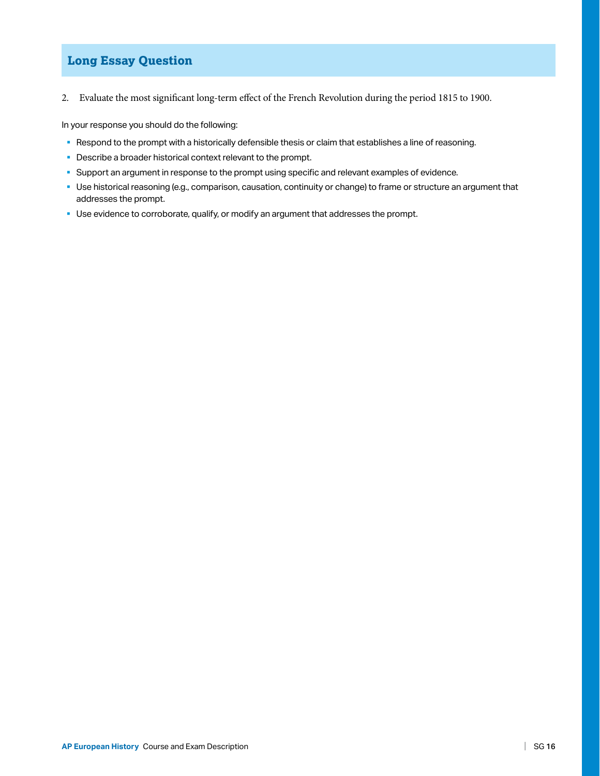### **Long Essay Question**

2. Evaluate the most significant long-term effect of the French Revolution during the period 1815 to 1900.

In your response you should do the following:

- § Respond to the prompt with a historically defensible thesis or claim that establishes a line of reasoning.
- Describe a broader historical context relevant to the prompt.
- § Support an argument in response to the prompt using specific and relevant examples of evidence.
- § Use historical reasoning (e.g., comparison, causation, continuity or change) to frame or structure an argument that addresses the prompt.
- Use evidence to corroborate, qualify, or modify an argument that addresses the prompt.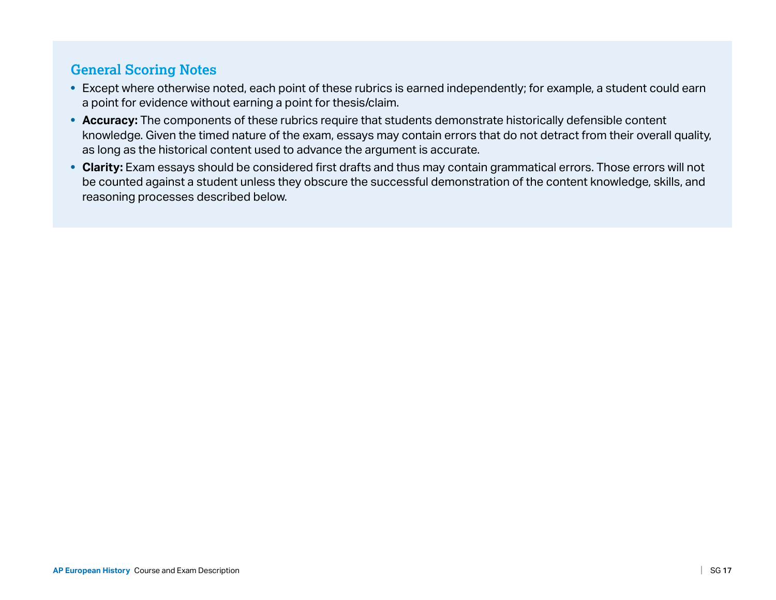# **General Scoring Notes**

- Except where otherwise noted, each point of these rubrics is earned independently; for example, a student could earn a point for evidence without earning a point for thesis/claim.
- **Accuracy:** The components of these rubrics require that students demonstrate historically defensible content knowledge. Given the timed nature of the exam, essays may contain errors that do not detract from their overall quality, as long as the historical content used to advance the argument is accurate.
- Clarity: Exam essays should be considered first drafts and thus may contain grammatical errors. Those errors will not be counted against a student unless they obscure the successful demonstration of the content knowledge, skills, and reasoning processes described below.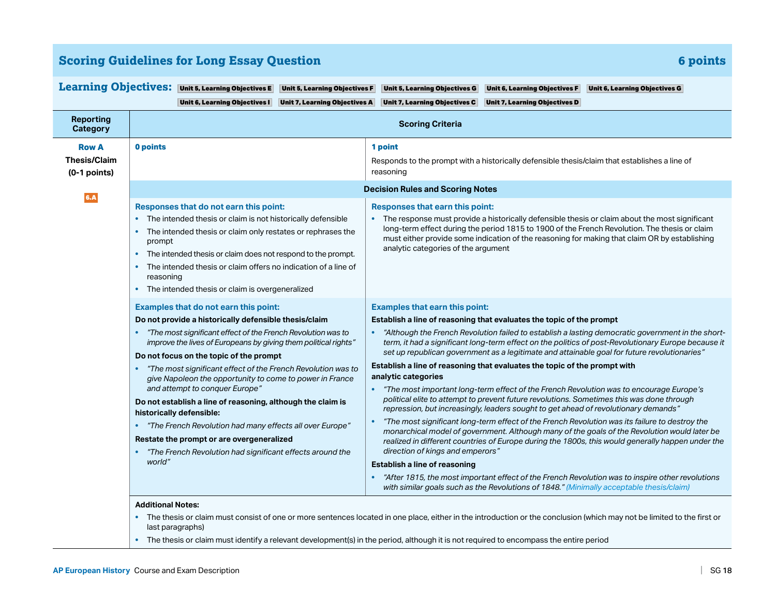| <b>Scoring Guidelines for Long Essay Question</b> | 6 points |
|---------------------------------------------------|----------|
|---------------------------------------------------|----------|

|                                                       | Learning Objectives: Unit 5, Learning Objectives E<br>Unit 5, Learning Objectives F                                                                                                                                                                                                                                                                                                                                                                                                                                                                                                                                                                                                                                                                                                                                                     | Unit 5, Learning Objectives G<br>Unit 6, Learning Objectives F<br>Unit 6, Learning Objectives G                                                                                                                                                                                                                                                                                                                                                                                                                                                                                                                                                                                                                                                                                                                                                                                                                                                                                                                                                                                                                                                                                                                                                                                                                                                                                                                    |
|-------------------------------------------------------|-----------------------------------------------------------------------------------------------------------------------------------------------------------------------------------------------------------------------------------------------------------------------------------------------------------------------------------------------------------------------------------------------------------------------------------------------------------------------------------------------------------------------------------------------------------------------------------------------------------------------------------------------------------------------------------------------------------------------------------------------------------------------------------------------------------------------------------------|--------------------------------------------------------------------------------------------------------------------------------------------------------------------------------------------------------------------------------------------------------------------------------------------------------------------------------------------------------------------------------------------------------------------------------------------------------------------------------------------------------------------------------------------------------------------------------------------------------------------------------------------------------------------------------------------------------------------------------------------------------------------------------------------------------------------------------------------------------------------------------------------------------------------------------------------------------------------------------------------------------------------------------------------------------------------------------------------------------------------------------------------------------------------------------------------------------------------------------------------------------------------------------------------------------------------------------------------------------------------------------------------------------------------|
|                                                       | Unit 6, Learning Objectives I<br><b>Unit 7, Learning Objectives A</b>                                                                                                                                                                                                                                                                                                                                                                                                                                                                                                                                                                                                                                                                                                                                                                   | <b>Unit 7, Learning Objectives C</b><br><b>Unit 7, Learning Objectives D</b>                                                                                                                                                                                                                                                                                                                                                                                                                                                                                                                                                                                                                                                                                                                                                                                                                                                                                                                                                                                                                                                                                                                                                                                                                                                                                                                                       |
| <b>Reporting</b><br><b>Category</b>                   |                                                                                                                                                                                                                                                                                                                                                                                                                                                                                                                                                                                                                                                                                                                                                                                                                                         | <b>Scoring Criteria</b>                                                                                                                                                                                                                                                                                                                                                                                                                                                                                                                                                                                                                                                                                                                                                                                                                                                                                                                                                                                                                                                                                                                                                                                                                                                                                                                                                                                            |
| <b>Row A</b><br><b>Thesis/Claim</b><br>$(0-1$ points) | 0 points                                                                                                                                                                                                                                                                                                                                                                                                                                                                                                                                                                                                                                                                                                                                                                                                                                | 1 point<br>Responds to the prompt with a historically defensible thesis/claim that establishes a line of<br>reasoning                                                                                                                                                                                                                                                                                                                                                                                                                                                                                                                                                                                                                                                                                                                                                                                                                                                                                                                                                                                                                                                                                                                                                                                                                                                                                              |
| 6.A                                                   | <b>Decision Rules and Scoring Notes</b><br>Responses that do not earn this point:<br>Responses that earn this point:<br>The intended thesis or claim is not historically defensible<br>The response must provide a historically defensible thesis or claim about the most significant<br>$\bullet$<br>long-term effect during the period 1815 to 1900 of the French Revolution. The thesis or claim<br>The intended thesis or claim only restates or rephrases the<br>must either provide some indication of the reasoning for making that claim OR by establishing<br>prompt<br>analytic categories of the argument<br>• The intended thesis or claim does not respond to the prompt.<br>The intended thesis or claim offers no indication of a line of<br>$\bullet$<br>reasoning<br>• The intended thesis or claim is overgeneralized |                                                                                                                                                                                                                                                                                                                                                                                                                                                                                                                                                                                                                                                                                                                                                                                                                                                                                                                                                                                                                                                                                                                                                                                                                                                                                                                                                                                                                    |
|                                                       | Examples that do not earn this point:<br>Do not provide a historically defensible thesis/claim<br>"The most significant effect of the French Revolution was to<br>$\bullet$<br>improve the lives of Europeans by giving them political rights"<br>Do not focus on the topic of the prompt<br>"The most significant effect of the French Revolution was to<br>$\bullet$<br>give Napoleon the opportunity to come to power in France<br>and attempt to conquer Europe"<br>Do not establish a line of reasoning, although the claim is<br>historically defensible:<br>"The French Revolution had many effects all over Europe"<br>$\bullet$<br>Restate the prompt or are overgeneralized<br>"The French Revolution had significant effects around the<br>world"                                                                            | <b>Examples that earn this point:</b><br>Establish a line of reasoning that evaluates the topic of the prompt<br>"Although the French Revolution failed to establish a lasting democratic government in the short-<br>term, it had a significant long-term effect on the politics of post-Revolutionary Europe because it<br>set up republican government as a legitimate and attainable goal for future revolutionaries"<br>Establish a line of reasoning that evaluates the topic of the prompt with<br>analytic categories<br>"The most important long-term effect of the French Revolution was to encourage Europe's<br>$\bullet$<br>political elite to attempt to prevent future revolutions. Sometimes this was done through<br>repression, but increasingly, leaders sought to get ahead of revolutionary demands"<br>"The most significant long-term effect of the French Revolution was its failure to destroy the<br>monarchical model of government. Although many of the goals of the Revolution would later be<br>realized in different countries of Europe during the 1800s, this would generally happen under the<br>direction of kings and emperors"<br>Establish a line of reasoning<br>"After 1815, the most important effect of the French Revolution was to inspire other revolutions<br>$\bullet$<br>with similar goals such as the Revolutions of 1848." (Minimally acceptable thesis/claim) |
|                                                       | <b>Additional Notes:</b><br>last paragraphs)                                                                                                                                                                                                                                                                                                                                                                                                                                                                                                                                                                                                                                                                                                                                                                                            | The thesis or claim must consist of one or more sentences located in one place, either in the introduction or the conclusion (which may not be limited to the first or                                                                                                                                                                                                                                                                                                                                                                                                                                                                                                                                                                                                                                                                                                                                                                                                                                                                                                                                                                                                                                                                                                                                                                                                                                             |

**•** The thesis or claim must identify a relevant development(s) in the period, although it is not required to encompass the entire period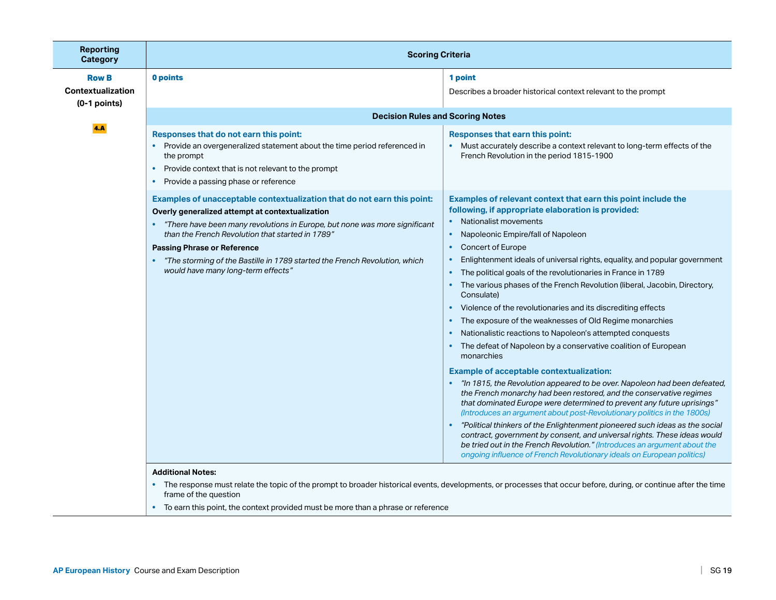| Reporting<br><b>Category</b>                        | <b>Scoring Criteria</b>                                                                                                                                                                                                                                                                                                                                  |                                                                                                                                                                                                                                                                                                                                                                                                                                                                                                                                                                                                                                                                                                                                                                                                                                                                                                                                                                                                                                                                                                                                                                                                                                                                                                                                                                                                                                                 |
|-----------------------------------------------------|----------------------------------------------------------------------------------------------------------------------------------------------------------------------------------------------------------------------------------------------------------------------------------------------------------------------------------------------------------|-------------------------------------------------------------------------------------------------------------------------------------------------------------------------------------------------------------------------------------------------------------------------------------------------------------------------------------------------------------------------------------------------------------------------------------------------------------------------------------------------------------------------------------------------------------------------------------------------------------------------------------------------------------------------------------------------------------------------------------------------------------------------------------------------------------------------------------------------------------------------------------------------------------------------------------------------------------------------------------------------------------------------------------------------------------------------------------------------------------------------------------------------------------------------------------------------------------------------------------------------------------------------------------------------------------------------------------------------------------------------------------------------------------------------------------------------|
| <b>Row B</b><br>Contextualization<br>$(0-1$ points) | 0 points<br><b>Decision Rules and Scoring Notes</b>                                                                                                                                                                                                                                                                                                      | 1 point<br>Describes a broader historical context relevant to the prompt                                                                                                                                                                                                                                                                                                                                                                                                                                                                                                                                                                                                                                                                                                                                                                                                                                                                                                                                                                                                                                                                                                                                                                                                                                                                                                                                                                        |
| 4.A                                                 | Responses that do not earn this point:<br>Provide an overgeneralized statement about the time period referenced in<br>$\bullet$<br>the prompt<br>Provide context that is not relevant to the prompt<br>$\bullet$<br>Provide a passing phase or reference<br>$\bullet$<br>Examples of unacceptable contextualization that do not earn this point:         | Responses that earn this point:<br>• Must accurately describe a context relevant to long-term effects of the<br>French Revolution in the period 1815-1900<br>Examples of relevant context that earn this point include the                                                                                                                                                                                                                                                                                                                                                                                                                                                                                                                                                                                                                                                                                                                                                                                                                                                                                                                                                                                                                                                                                                                                                                                                                      |
|                                                     | Overly generalized attempt at contextualization<br>"There have been many revolutions in Europe, but none was more significant<br>than the French Revolution that started in 1789"<br><b>Passing Phrase or Reference</b><br>"The storming of the Bastille in 1789 started the French Revolution, which<br>$\bullet$<br>would have many long-term effects" | following, if appropriate elaboration is provided:<br>Nationalist movements<br>Napoleonic Empire/fall of Napoleon<br>$\bullet$<br>Concert of Europe<br>$\bullet$<br>Enlightenment ideals of universal rights, equality, and popular government<br>$\bullet$<br>The political goals of the revolutionaries in France in 1789<br>$\bullet$<br>The various phases of the French Revolution (liberal, Jacobin, Directory,<br>$\bullet$<br>Consulate)<br>Violence of the revolutionaries and its discrediting effects<br>$\bullet$<br>The exposure of the weaknesses of Old Regime monarchies<br>$\bullet$<br>Nationalistic reactions to Napoleon's attempted conquests<br>$\bullet$<br>The defeat of Napoleon by a conservative coalition of European<br>monarchies<br><b>Example of acceptable contextualization:</b><br>• "In 1815, the Revolution appeared to be over. Napoleon had been defeated,<br>the French monarchy had been restored, and the conservative regimes<br>that dominated Europe were determined to prevent any future uprisings"<br>(Introduces an argument about post-Revolutionary politics in the 1800s)<br>"Political thinkers of the Enlightenment pioneered such ideas as the social<br>contract, government by consent, and universal rights. These ideas would<br>be tried out in the French Revolution." (Introduces an argument about the<br>ongoing influence of French Revolutionary ideals on European politics) |
|                                                     | <b>Additional Notes:</b><br>frame of the question<br>To earn this point, the context provided must be more than a phrase or reference<br>$\bullet$                                                                                                                                                                                                       | The response must relate the topic of the prompt to broader historical events, developments, or processes that occur before, during, or continue after the time                                                                                                                                                                                                                                                                                                                                                                                                                                                                                                                                                                                                                                                                                                                                                                                                                                                                                                                                                                                                                                                                                                                                                                                                                                                                                 |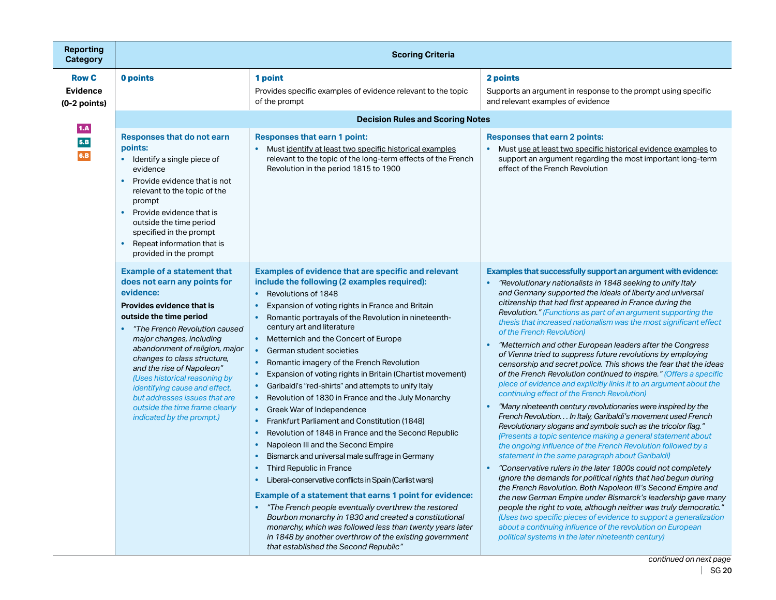| <b>Reporting</b><br><b>Category</b>               | <b>Scoring Criteria</b>                                                                                                                                                                                                                                                                                                                                                                                                                                                           |                                                                                                                                                                                                                                                                                                                                                                                                                                                                                                                                                                                                                                                                                                                                                                                                                                                                                                                                                                                                                                                                                                                                                                                                                                                                                                                                                                                                            |                                                                                                                                                                                                                                                                                                                                                                                                                                                                                                                                                                                                                                                                                                                                                                                                                                                                                                                                                                                                                                                                                                                                                                                                                                                                                                                                                                                                                                                                                                                                                                                                                                                                                                                                        |
|---------------------------------------------------|-----------------------------------------------------------------------------------------------------------------------------------------------------------------------------------------------------------------------------------------------------------------------------------------------------------------------------------------------------------------------------------------------------------------------------------------------------------------------------------|------------------------------------------------------------------------------------------------------------------------------------------------------------------------------------------------------------------------------------------------------------------------------------------------------------------------------------------------------------------------------------------------------------------------------------------------------------------------------------------------------------------------------------------------------------------------------------------------------------------------------------------------------------------------------------------------------------------------------------------------------------------------------------------------------------------------------------------------------------------------------------------------------------------------------------------------------------------------------------------------------------------------------------------------------------------------------------------------------------------------------------------------------------------------------------------------------------------------------------------------------------------------------------------------------------------------------------------------------------------------------------------------------------|----------------------------------------------------------------------------------------------------------------------------------------------------------------------------------------------------------------------------------------------------------------------------------------------------------------------------------------------------------------------------------------------------------------------------------------------------------------------------------------------------------------------------------------------------------------------------------------------------------------------------------------------------------------------------------------------------------------------------------------------------------------------------------------------------------------------------------------------------------------------------------------------------------------------------------------------------------------------------------------------------------------------------------------------------------------------------------------------------------------------------------------------------------------------------------------------------------------------------------------------------------------------------------------------------------------------------------------------------------------------------------------------------------------------------------------------------------------------------------------------------------------------------------------------------------------------------------------------------------------------------------------------------------------------------------------------------------------------------------------|
| <b>Row C</b><br><b>Evidence</b><br>$(0-2$ points) | 0 points                                                                                                                                                                                                                                                                                                                                                                                                                                                                          | 1 point<br>Provides specific examples of evidence relevant to the topic<br>of the prompt                                                                                                                                                                                                                                                                                                                                                                                                                                                                                                                                                                                                                                                                                                                                                                                                                                                                                                                                                                                                                                                                                                                                                                                                                                                                                                                   | 2 points<br>Supports an argument in response to the prompt using specific<br>and relevant examples of evidence                                                                                                                                                                                                                                                                                                                                                                                                                                                                                                                                                                                                                                                                                                                                                                                                                                                                                                                                                                                                                                                                                                                                                                                                                                                                                                                                                                                                                                                                                                                                                                                                                         |
| 1.A<br>5.B<br>6.B                                 | <b>Responses that do not earn</b><br>points:<br>Identify a single piece of<br>$\bullet$<br>evidence<br>Provide evidence that is not<br>$\bullet$<br>relevant to the topic of the<br>prompt<br>Provide evidence that is<br>$\bullet$<br>outside the time period<br>specified in the prompt<br>Repeat information that is<br>$\bullet$<br>provided in the prompt                                                                                                                    | <b>Decision Rules and Scoring Notes</b><br><b>Responses that earn 1 point:</b><br>Must identify at least two specific historical examples<br>$\bullet$<br>relevant to the topic of the long-term effects of the French<br>Revolution in the period 1815 to 1900                                                                                                                                                                                                                                                                                                                                                                                                                                                                                                                                                                                                                                                                                                                                                                                                                                                                                                                                                                                                                                                                                                                                            | <b>Responses that earn 2 points:</b><br>Must use at least two specific historical evidence examples to<br>support an argument regarding the most important long-term<br>effect of the French Revolution                                                                                                                                                                                                                                                                                                                                                                                                                                                                                                                                                                                                                                                                                                                                                                                                                                                                                                                                                                                                                                                                                                                                                                                                                                                                                                                                                                                                                                                                                                                                |
|                                                   | <b>Example of a statement that</b><br>does not earn any points for<br>evidence:<br>Provides evidence that is<br>outside the time period<br>"The French Revolution caused<br>$\bullet$<br>major changes, including<br>abandonment of religion, major<br>changes to class structure,<br>and the rise of Napoleon"<br>(Uses historical reasoning by<br>identifying cause and effect,<br>but addresses issues that are<br>outside the time frame clearly<br>indicated by the prompt.) | Examples of evidence that are specific and relevant<br>include the following (2 examples required):<br>Revolutions of 1848<br>$\bullet$<br>Expansion of voting rights in France and Britain<br>$\bullet$<br>Romantic portrayals of the Revolution in nineteenth-<br>$\bullet$<br>century art and literature<br>Metternich and the Concert of Europe<br>$\bullet$<br>German student societies<br>$\bullet$<br>Romantic imagery of the French Revolution<br>$\bullet$<br>Expansion of voting rights in Britain (Chartist movement)<br>$\bullet$<br>Garibaldi's "red-shirts" and attempts to unify Italy<br>$\bullet$<br>Revolution of 1830 in France and the July Monarchy<br>$\bullet$<br>Greek War of Independence<br>$\bullet$<br>Frankfurt Parliament and Constitution (1848)<br>$\bullet$<br>Revolution of 1848 in France and the Second Republic<br>$\bullet$<br>Napoleon III and the Second Empire<br>$\bullet$<br>Bismarck and universal male suffrage in Germany<br>Third Republic in France<br>Liberal-conservative conflicts in Spain (Carlist wars)<br>Example of a statement that earns 1 point for evidence:<br>"The French people eventually overthrew the restored<br>Bourbon monarchy in 1830 and created a constitutional<br>monarchy, which was followed less than twenty years later<br>in 1848 by another overthrow of the existing government<br>that established the Second Republic" | Examples that successfully support an argument with evidence:<br>"Revolutionary nationalists in 1848 seeking to unify Italy<br>and Germany supported the ideals of liberty and universal<br>citizenship that had first appeared in France during the<br>Revolution." (Functions as part of an argument supporting the<br>thesis that increased nationalism was the most significant effect<br>of the French Revolution)<br>"Metternich and other European leaders after the Congress<br>of Vienna tried to suppress future revolutions by employing<br>censorship and secret police. This shows the fear that the ideas<br>of the French Revolution continued to inspire." (Offers a specific<br>piece of evidence and explicitly links it to an argument about the<br>continuing effect of the French Revolution)<br>"Many nineteenth century revolutionaries were inspired by the<br>French Revolution. In Italy, Garibaldi's movement used French<br>Revolutionary slogans and symbols such as the tricolor flag."<br>(Presents a topic sentence making a general statement about<br>the ongoing influence of the French Revolution followed by a<br>statement in the same paragraph about Garibaldi)<br>"Conservative rulers in the later 1800s could not completely<br>ignore the demands for political rights that had begun during<br>the French Revolution. Both Napoleon III's Second Empire and<br>the new German Empire under Bismarck's leadership gave many<br>people the right to vote, although neither was truly democratic."<br>(Uses two specific pieces of evidence to support a generalization<br>about a continuing influence of the revolution on European<br>political systems in the later nineteenth century) |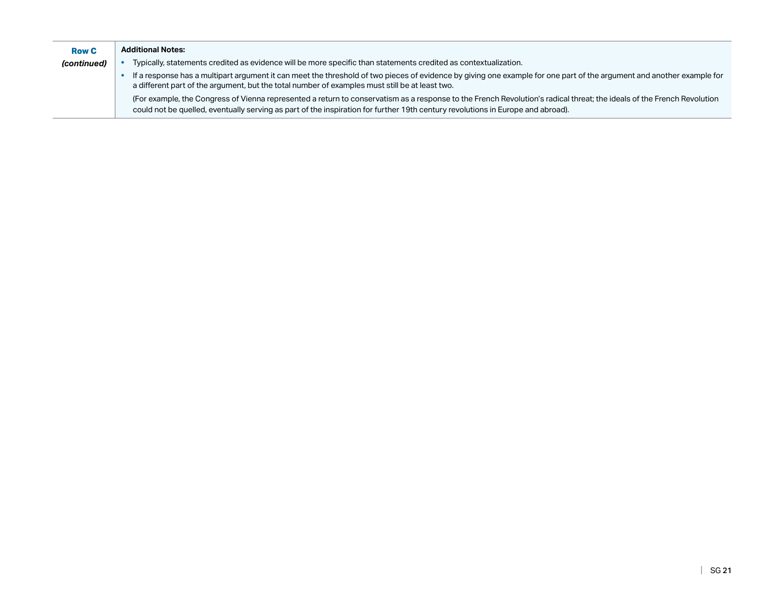| <b>Row C</b> | <b>Additional Notes:</b>                                                                                                                                                                                                                                                                                  |
|--------------|-----------------------------------------------------------------------------------------------------------------------------------------------------------------------------------------------------------------------------------------------------------------------------------------------------------|
| (continued)  | Typically, statements credited as evidence will be more specific than statements credited as contextualization.                                                                                                                                                                                           |
|              | If a response has a multipart argument it can meet the threshold of two pieces of evidence by giving one example for one part of the argument and another example for<br>a different part of the argument, but the total number of examples must still be at least two.                                   |
|              | (For example, the Congress of Vienna represented a return to conservatism as a response to the French Revolution's radical threat; the ideals of the French Revolution<br>could not be quelled, eventually serving as part of the inspiration for further 19th century revolutions in Europe and abroad). |